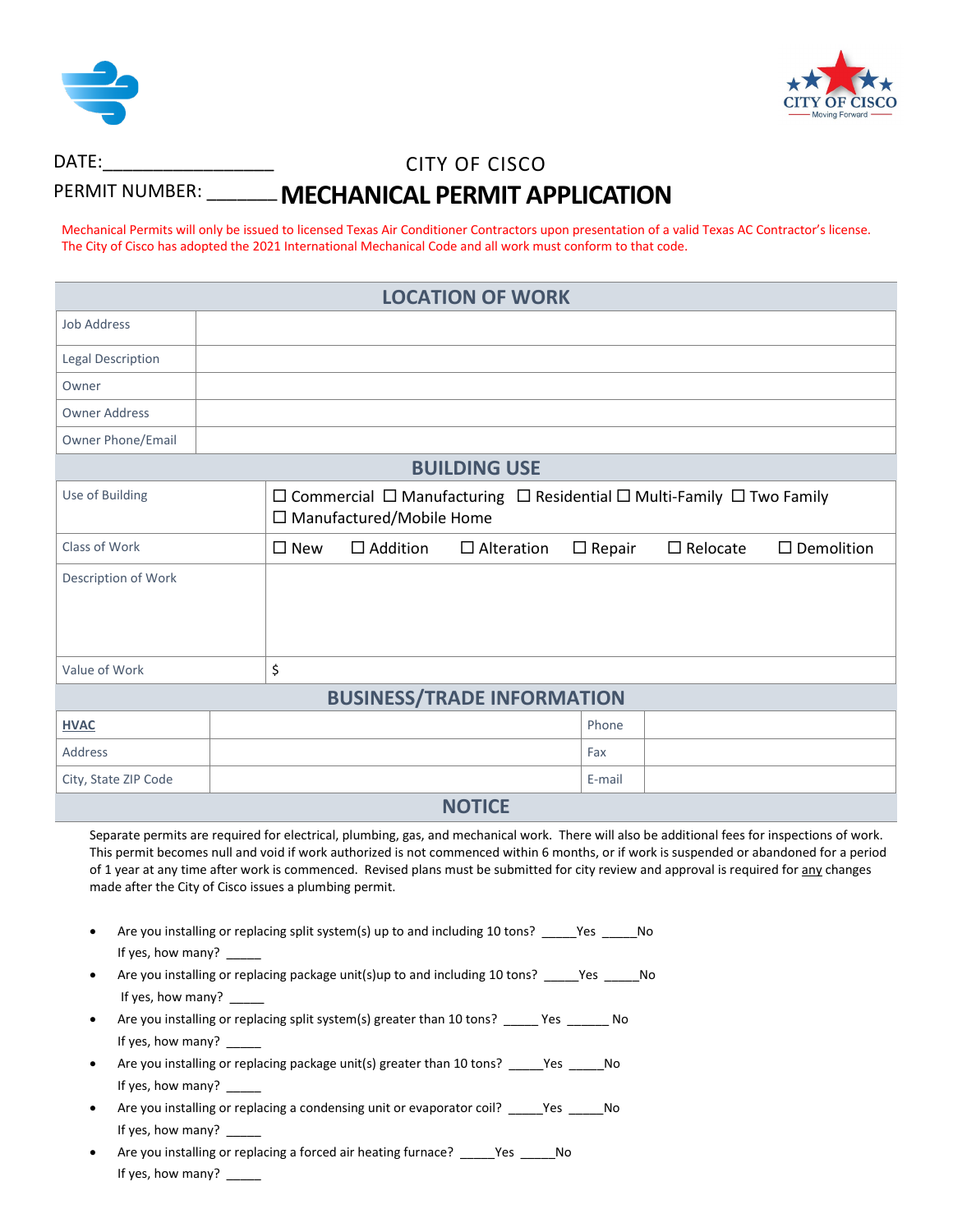



## CITY OF CISCO **MECHANICAL PERMIT APPLICATION** DATE:\_\_\_\_\_\_\_\_\_\_\_\_\_\_\_\_\_ PERMIT NUMBER: \_\_\_\_\_\_\_\_

Mechanical Permits will only be issued to licensed Texas Air Conditioner Contractors upon presentation of a valid Texas AC Contractor's license. The City of Cisco has adopted the 2021 International Mechanical Code and all work must conform to that code.

| <b>LOCATION OF WORK</b>                                                                                                                                                                                                                                                                                                                                                                                                                                                                                                                                                                                          |                                                                                                                                    |  |  |  |
|------------------------------------------------------------------------------------------------------------------------------------------------------------------------------------------------------------------------------------------------------------------------------------------------------------------------------------------------------------------------------------------------------------------------------------------------------------------------------------------------------------------------------------------------------------------------------------------------------------------|------------------------------------------------------------------------------------------------------------------------------------|--|--|--|
| <b>Job Address</b>                                                                                                                                                                                                                                                                                                                                                                                                                                                                                                                                                                                               |                                                                                                                                    |  |  |  |
| Legal Description                                                                                                                                                                                                                                                                                                                                                                                                                                                                                                                                                                                                |                                                                                                                                    |  |  |  |
| Owner                                                                                                                                                                                                                                                                                                                                                                                                                                                                                                                                                                                                            |                                                                                                                                    |  |  |  |
| <b>Owner Address</b>                                                                                                                                                                                                                                                                                                                                                                                                                                                                                                                                                                                             |                                                                                                                                    |  |  |  |
| <b>Owner Phone/Email</b>                                                                                                                                                                                                                                                                                                                                                                                                                                                                                                                                                                                         |                                                                                                                                    |  |  |  |
| <b>BUILDING USE</b>                                                                                                                                                                                                                                                                                                                                                                                                                                                                                                                                                                                              |                                                                                                                                    |  |  |  |
| Use of Building                                                                                                                                                                                                                                                                                                                                                                                                                                                                                                                                                                                                  | $\Box$ Commercial $\Box$ Manufacturing $\Box$ Residential $\Box$ Multi-Family $\Box$ Two Family<br>$\Box$ Manufactured/Mobile Home |  |  |  |
| <b>Class of Work</b>                                                                                                                                                                                                                                                                                                                                                                                                                                                                                                                                                                                             | $\Box$ Addition<br>$\square$ New<br>$\Box$ Alteration<br>$\Box$ Repair<br>$\Box$ Relocate<br>$\Box$ Demolition                     |  |  |  |
| Description of Work                                                                                                                                                                                                                                                                                                                                                                                                                                                                                                                                                                                              |                                                                                                                                    |  |  |  |
| Value of Work                                                                                                                                                                                                                                                                                                                                                                                                                                                                                                                                                                                                    | \$                                                                                                                                 |  |  |  |
| <b>BUSINESS/TRADE INFORMATION</b>                                                                                                                                                                                                                                                                                                                                                                                                                                                                                                                                                                                |                                                                                                                                    |  |  |  |
| <b>HVAC</b>                                                                                                                                                                                                                                                                                                                                                                                                                                                                                                                                                                                                      | Phone                                                                                                                              |  |  |  |
| <b>Address</b>                                                                                                                                                                                                                                                                                                                                                                                                                                                                                                                                                                                                   | Fax                                                                                                                                |  |  |  |
| City, State ZIP Code                                                                                                                                                                                                                                                                                                                                                                                                                                                                                                                                                                                             | E-mail                                                                                                                             |  |  |  |
| <b>NOTICE</b>                                                                                                                                                                                                                                                                                                                                                                                                                                                                                                                                                                                                    |                                                                                                                                    |  |  |  |
| Separate permits are required for electrical, plumbing, gas, and mechanical work. There will also be additional fees for inspections of work.<br>This permit becomes null and void if work authorized is not commenced within 6 months, or if work is suspended or abandoned for a period<br>of 1 year at any time after work is commenced. Revised plans must be submitted for city review and approval is required for any changes<br>made after the City of Cisco issues a plumbing permit.                                                                                                                   |                                                                                                                                    |  |  |  |
| Are you installing or replacing split system(s) up to and including 10 tons? _____Yes ____<br>No<br>If yes, how many?<br>Are you installing or replacing package unit(s)up to and including 10 tons?<br>Yes<br>No<br>If yes, how many? _____<br>Are you installing or replacing split system(s) greater than 10 tons? _____ Yes ______ No<br>If yes, how many?<br>Are you installing or replacing package unit(s) greater than 10 tons? _____Yes _____No<br>If yes, how many?<br>Are you installing or replacing a condensing unit or evaporator coil? _____Yes _____No<br>$\bullet$<br>If yes, how many? ______ |                                                                                                                                    |  |  |  |

• Are you installing or replacing a forced air heating furnace? \_\_\_\_\_Yes \_\_\_\_\_No If yes, how many? \_\_\_\_\_